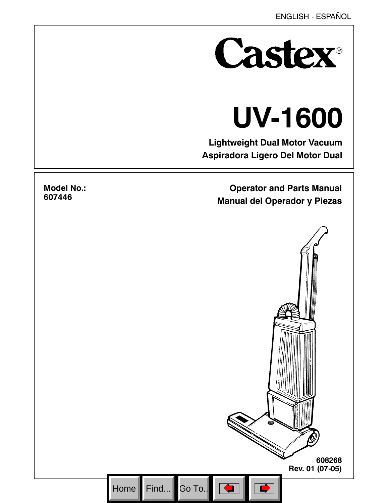

# **UV-1600**

**Lightweight Dual Motor Vacuum Aspiradora Ligero Del Motor Dual**

> **Operator and Parts Manual Manual del Operador y Piezas**



# **Model No.: 607446**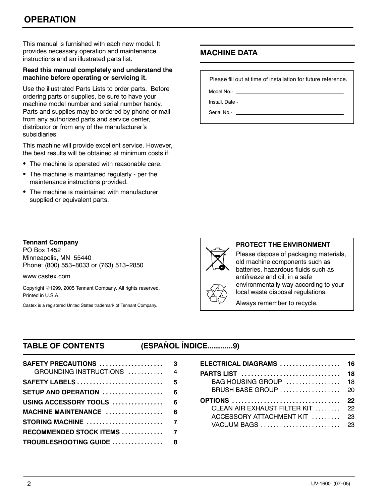This manual is furnished with each new model. It provides necessary operation and maintenance instructions and an illustrated parts list.

#### **Read this manual completely and understand the machine before operating or servicing it.**

Use the illustrated Parts Lists to order parts. Before ordering parts or supplies, be sure to have your machine model number and serial number handy. Parts and supplies may be ordered by phone or mail from any authorized parts and service center, distributor or from any of the manufacturer's subsidiaries.

This machine will provide excellent service. However, the best results will be obtained at minimum costs if:

- The machine is operated with reasonable care.
- The machine is maintained regularly per the maintenance instructions provided.
- The machine is maintained with manufacturer supplied or equivalent parts.

# **MACHINE DATA**

Please fill out at time of installation for future reference.

Model No.-

Install. Date -

Serial No.-

#### **Tennant Company**

PO Box 1452 Minneapolis, MN 55440 Phone: (800) 553-8033 or (763) 513-2850

www.castex.com

Copyright ©1999, 2005 Tennant Company. All rights reserved. Printed in U.S.A.

Castex is a registered United States trademark of Tennant Company.

#### **PROTECT THE ENVIRONMENT**

Please dispose of packaging materials, old machine components such as batteries, hazardous fluids such as antifreeze and oil, in a safe environmentally way according to your local waste disposal regulations.

Always remember to recycle.

# **TABLE OF CONTENTS (ESPAÑOL ÍNDICE............9)**

| SAFETY PRECAUTIONS<br>GROUNDING INSTRUCTIONS                               | 3<br>$\overline{4}$ |
|----------------------------------------------------------------------------|---------------------|
| $S$ AFETY LABELS $\ldots \ldots \ldots \ldots \ldots \ldots \ldots \ldots$ | 5                   |
| SETUP AND OPERATION $\ldots \ldots \ldots \ldots \ldots$                   | 6                   |
| USING ACCESSORY TOOLS                                                      | 6                   |
| MACHINE MAINTENANCE $\ldots$                                               | 6                   |
|                                                                            |                     |
| RECOMMENDED STOCK ITEMS  7                                                 |                     |
| TROUBLESHOOTING GUIDE  8                                                   |                     |
|                                                                            |                     |

| ELECTRICAL DIAGRAMS  16                                                          |          |
|----------------------------------------------------------------------------------|----------|
| <b>PARTS LIST</b><br>$BAG$ HOUSING GROUP $\ldots \ldots \ldots \ldots \ldots$ 18 | 18       |
| <b>OPTIONS</b><br>CLEAN AIR EXHAUST FILTER KIT  22<br>ACCESSORY ATTACHMENT KIT   | 22<br>23 |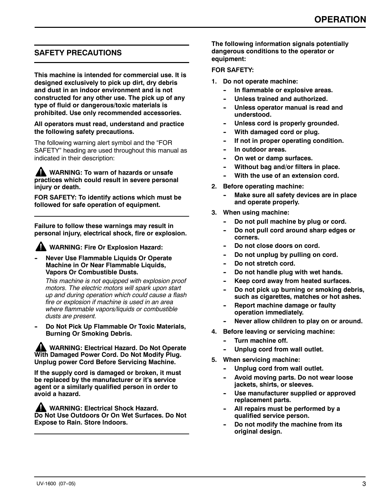# **SAFETY PRECAUTIONS**

**This machine is intended for commercial use. It is designed exclusively to pick up dirt, dry debris and dust in an indoor environment and is not constructed for any other use. The pick up of any type of fluid or dangerous/toxic materials is prohibited. Use only recommended accessories.**

#### **All operators must read, understand and practice the following safety precautions.**

The following warning alert symbol and the "FOR SAFETY" heading are used throughout this manual as indicated in their description:

**WARNING: To warn of hazards or unsafe practices which could result in severe personal injury or death.**

**FOR SAFETY: To identify actions which must be followed for safe operation of equipment.**

**Failure to follow these warnings may result in personal injury, electrical shock, fire or explosion.**

**WARNING: Fire Or Explosion Hazard:**

**Never Use Flammable Liquids Or Operate Machine in Or Near Flammable Liquids, Vapors Or Combustible Dusts.**

*This machine is not equipped with explosion proof motors. The electric motors will spark upon start up and during operation which could cause a flash fire or explosion if machine is used in an area where flammable vapors/liquids or combustible dusts are present.*

Do Not Pick Up Flammable Or Toxic Materials, **Burning Or Smoking Debris.**

**WARNING: Electrical Hazard. Do Not Operate With Damaged Power Cord. Do Not Modify Plug. Unplug power Cord Before Servicing Machine.**

**If the supply cord is damaged or broken, it must be replaced by the manufacturer or it's service agent or a similarly qualified person in order to avoid a hazard.**

**WARNING: Electrical Shock Hazard. Do Not Use Outdoors Or On Wet Surfaces. Do Not Expose to Rain. Store Indoors.**

**The following information signals potentially dangerous conditions to the operator or equipment:**

#### **FOR SAFETY:**

- **1. Do not operate machine:**
	- In flammable or explosive areas.
	- Unless trained and authorized.
	- Unless operator manual is read and **understood.**
	- Unless cord is properly grounded.
	- **-- With damaged cord or plug.**
	- **If not in proper operating condition.**
	- In outdoor areas.
	- **-- On wet or damp surfaces.**
	- **Without bag and/or filters in place.**
	- **With the use of an extension cord.**
- **2. Before operating machine:**
	- **Make sure all safety devices are in place and operate properly.**
- **3. When using machine:**
	- Do not pull machine by plug or cord.
	- Do not pull cord around sharp edges or **corners.**
	- Do not close doors on cord.
	- Do not unplug by pulling on cord.
	- Do not stretch cord.
	- Do not handle plug with wet hands.
	- Keep cord away from heated surfaces.
	- Do not pick up burning or smoking debris, **such as cigarettes, matches or hot ashes.**
	- **Report machine damage or faulty operation immediately.**
	- Never allow children to play on or around.
- **4. Before leaving or servicing machine:**
	- **Turn machine off.**
	- Unplug cord from wall outlet.
- **5. When servicing machine:**
	- Unplug cord from wall outlet.
	- Avoid moving parts. Do not wear loose **jackets, shirts, or sleeves.**
	- Use manufacturer supplied or approved **replacement parts.**
	- All repairs must be performed by a **qualified service person.**
	- Do not modify the machine from its **original design.**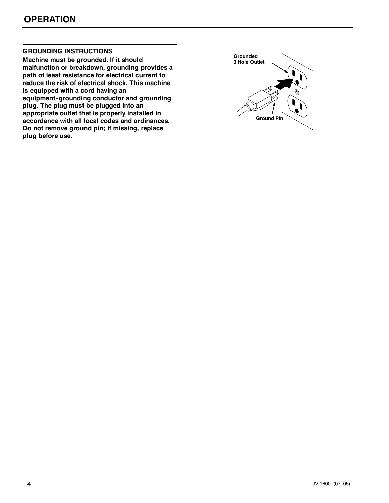#### **GROUNDING INSTRUCTIONS**

**Machine must be grounded. If it should malfunction or breakdown, grounding provides a path of least resistance for electrical current to reduce the risk of electrical shock. This machine is equipped with a cord having an equipment--grounding conductor and grounding plug. The plug must be plugged into an appropriate outlet that is properly installed in accordance with all local codes and ordinances. Do not remove ground pin; if missing, replace plug before use.**

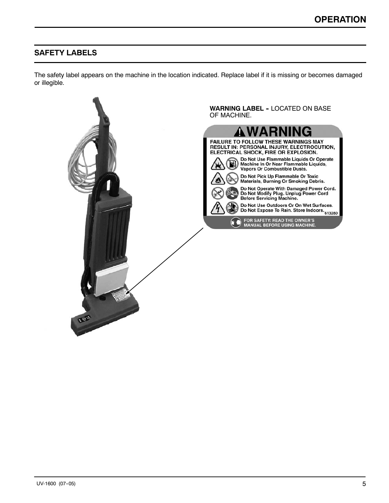# **SAFETY LABELS**

The safety label appears on the machine in the location indicated. Replace label if it is missing or becomes damaged or illegible.

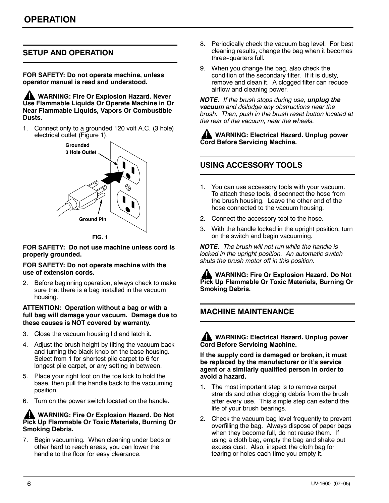# **SETUP AND OPERATION**

**FOR SAFETY: Do not operate machine, unless operator manual is read and understood.**

**WARNING: Fire Or Explosion Hazard. Never Use Flammable Liquids Or Operate Machine in Or Near Flammable Liquids, Vapors Or Combustible Dusts.**

1. Connect only to a grounded 120 volt A.C. (3 hole) electrical outlet (Figure 1).



**FIG. 1**

**FOR SAFETY: Do not use machine unless cord is properly grounded.**

#### **FOR SAFETY: Do not operate machine with the use of extension cords.**

Before beginning operation, always check to make sure that there is a bag installed in the vacuum housing.

#### **ATTENTION: Operation without a bag or with a full bag will damage your vacuum. Damage due to these causes is NOT covered by warranty.**

- 3. Close the vacuum housing lid and latch it.
- 4. Adjust the brush height by tilting the vacuum back and turning the black knob on the base housing. Select from 1 for shortest pile carpet to 6 for longest pile carpet, or any setting in between.
- 5. Place your right foot on the toe kick to hold the base, then pull the handle back to the vacuuming position.
- 6. Turn on the power switch located on the handle.

#### **WARNING: Fire Or Explosion Hazard. Do Not Pick Up Flammable Or Toxic Materials, Burning Or Smoking Debris.**

7. Begin vacuuming. When cleaning under beds or other hard to reach areas, you can lower the handle to the floor for easy clearance.

- 8. Periodically check the vacuum bag level. For best cleaning results, change the bag when it becomes three-quarters full.
- 9. When you change the bag, also check the condition of the secondary filter. If it is dusty, remove and clean it. A clogged filter can reduce airflow and cleaning power.

*NOTE: If the brush stops during use, unplug the vacuum and dislodge any obstructions near the brush. Then, push in the brush reset button located at the rear of the vacuum, near the wheels.*

**WARNING: Electrical Hazard. Unplug power Cord Before Servicing Machine.**

# **USING ACCESSORY TOOLS**

- 1. You can use accessory tools with your vacuum. To attach these tools, disconnect the hose from the brush housing. Leave the other end of the hose connected to the vacuum housing.
- 2. Connect the accessory tool to the hose.
- 3. With the handle locked in the upright position, turn on the switch and begin vacuuming.

*NOTE: The brush will not run while the handle is locked in the upright position. An automatic switch shuts the brush motor off in this position.*

**WARNING: Fire Or Explosion Hazard. Do Not Pick Up Flammable Or Toxic Materials, Burning Or Smoking Debris.**

#### **MACHINE MAINTENANCE**

**WARNING: Electrical Hazard. Unplug power Cord Before Servicing Machine.**

**If the supply cord is damaged or broken, it must be replaced by the manufacturer or it's service agent or a similarly qualified person in order to avoid a hazard.**

- 1. The most important step is to remove carpet strands and other clogging debris from the brush after every use. This simple step can extend the life of your brush bearings.
- 2. Check the vacuum bag level frequently to prevent overfilling the bag. Always dispose of paper bags when they become full, do not reuse them. If using a cloth bag, empty the bag and shake out excess dust. Also, inspect the cloth bag for tearing or holes each time you empty it.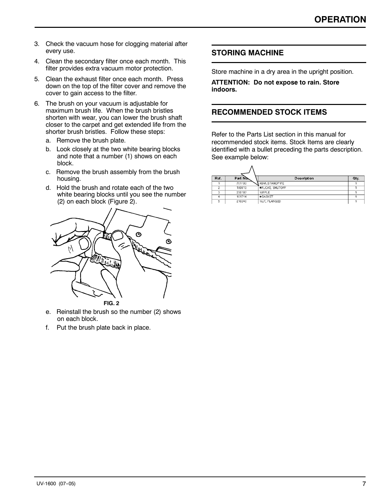- 3. Check the vacuum hose for clogging material after every use.
- 4. Clean the secondary filter once each month. This filter provides extra vacuum motor protection.
- 5. Clean the exhaust filter once each month. Press down on the top of the filter cover and remove the cover to gain access to the filter.
- 6. The brush on your vacuum is adjustable for maximum brush life. When the brush bristles shorten with wear, you can lower the brush shaft closer to the carpet and get extended life from the shorter brush bristles. Follow these steps:
	- a. Remove the brush plate.
	- b. Look closely at the two white bearing blocks and note that a number (1) shows on each block.
	- c. Remove the brush assembly from the brush housing.
	- d. Hold the brush and rotate each of the two white bearing blocks until you see the number (2) on each block (Figure 2).



- e. Reinstall the brush so the number (2) shows on each block.
- f. Put the brush plate back in place.

#### **STORING MACHINE**

Store machine in a dry area in the upright position.

**ATTENTION: Do not expose to rain. Store indoors.**

## **RECOMMENDED STOCK ITEMS**

Refer to the Parts List section in this manual for recommended stock items. Stock Items are clearly identified with a bullet preceding the parts description. See example below:

| Ref. | Part No. | <b>Description</b>     | Qty. |
|------|----------|------------------------|------|
|      | 701103   | ASM., STANDPIPE        |      |
| 2    | 180613   | <b>*FLOAT, SHUTOFF</b> |      |
|      | 230187   | NIPPLE                 |      |
|      | 101714   | <b>+GASKET</b>         |      |
| 5    | 210240   | NUT, FLANGED           |      |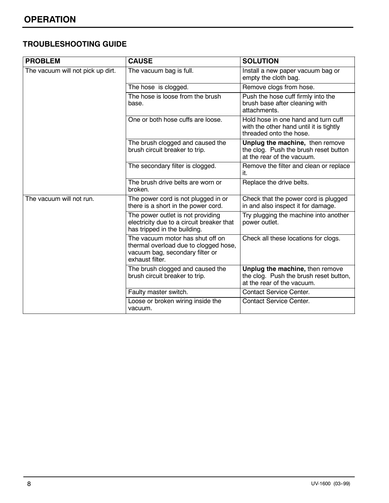# **TROUBLESHOOTING GUIDE**

| <b>PROBLEM</b>                    | <b>CAUSE</b>                                                                                                                    | <b>SOLUTION</b>                                                                                           |
|-----------------------------------|---------------------------------------------------------------------------------------------------------------------------------|-----------------------------------------------------------------------------------------------------------|
| The vacuum will not pick up dirt. | The vacuum bag is full.                                                                                                         | Install a new paper vacuum bag or<br>empty the cloth bag.                                                 |
|                                   | The hose is clogged.                                                                                                            | Remove clogs from hose.                                                                                   |
|                                   | The hose is loose from the brush<br>base.                                                                                       | Push the hose cuff firmly into the<br>brush base after cleaning with<br>attachments.                      |
|                                   | One or both hose cuffs are loose.                                                                                               | Hold hose in one hand and turn cuff<br>with the other hand until it is tightly<br>threaded onto the hose. |
|                                   | The brush clogged and caused the<br>brush circuit breaker to trip.                                                              | Unplug the machine, then remove<br>the clog. Push the brush reset button<br>at the rear of the vacuum.    |
|                                   | The secondary filter is clogged.                                                                                                | Remove the filter and clean or replace<br>it.                                                             |
|                                   | The brush drive belts are worn or<br>broken.                                                                                    | Replace the drive belts.                                                                                  |
| The vacuum will not run.          | The power cord is not plugged in or<br>there is a short in the power cord.                                                      | Check that the power cord is plugged<br>in and also inspect it for damage.                                |
|                                   | The power outlet is not providing<br>electricity due to a circuit breaker that<br>has tripped in the building.                  | Try plugging the machine into another<br>power outlet.                                                    |
|                                   | The vacuum motor has shut off on<br>thermal overload due to clogged hose,<br>vacuum bag, secondary filter or<br>exhaust filter. | Check all these locations for clogs.                                                                      |
|                                   | The brush clogged and caused the<br>brush circuit breaker to trip.                                                              | Unplug the machine, then remove<br>the clog. Push the brush reset button,<br>at the rear of the vacuum.   |
|                                   | Faulty master switch.                                                                                                           | <b>Contact Service Center.</b>                                                                            |
|                                   | Loose or broken wiring inside the<br>vacuum.                                                                                    | <b>Contact Service Center.</b>                                                                            |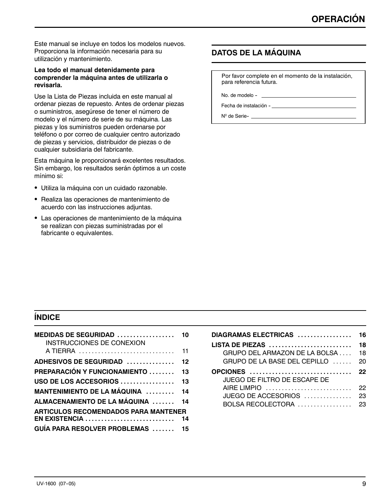Este manual se incluye en todos los modelos nuevos. Proporciona la información necesaria para su utilización y mantenimiento.

#### **Lea todo el manual detenidamente para comprender la máquina antes de utilizarla o revisarla.**

Use la Lista de Piezas incluida en este manual al ordenar piezas de repuesto. Antes de ordenar piezas o suministros, asegúrese de tener el número de modelo y el número de serie de su máquina. Las piezas y los suministros pueden ordenarse por teléfono o por correo de cualquier centro autorizado de piezas y servicios, distribuidor de piezas o de cualquier subsidiaria del fabricante.

Esta máquina le proporcionará excelentes resultados. Sin embargo, los resultados serán óptimos a un coste mínimo si:

- · Utiliza la máquina con un cuidado razonable.
- Realiza las operaciones de mantenimiento de acuerdo con las instrucciones adjuntas.
- Las operaciones de mantenimiento de la máquina se realizan con piezas suministradas por el fabricante o equivalentes.

# **DATOS DE LA MÁQUINA**

Por favor complete en el momento de la instalación, para referencia futura.

No. de modelo -

Fecha de instalación -\_

Nº de Serie-

# **ÍNDICE**

| MEDIDAS DE SEGURIDAD<br>INSTRUCCIONES DE CONEXION | 10 |
|---------------------------------------------------|----|
| A TIERRA                                          | 11 |
| ADHESIVOS DE SEGURIDAD                            | 12 |
| PREPARACIÓN Y FUNCIONAMIENTO  13                  |    |
| USO DE LOS ACCESORIOS                             | 13 |
| <b>MANTENIMIENTO DE LA MÁQUINA  14</b>            |    |
| ALMACENAMIENTO DE LA MÁQUINA  14                  |    |
| <b>ARTICULOS RECOMENDADOS PARA MANTENER</b>       |    |
| EN EXISTENCIA                                     | 14 |
| GUÍA PARA RESOLVER PROBLEMAS  15                  |    |

| DIAGRAMAS ELECTRICAS                              | 16 |
|---------------------------------------------------|----|
| LISTA DE PIEZAS                                   | 18 |
| GRUPO DEL ARMAZON DE LA BOLSA                     | 18 |
| GRUPO DE LA BASE DEL CEPILLO                      | 20 |
| <b>OPCIONES</b><br>JUEGO DE FILTRO DE ESCAPE DE   | 22 |
| AIRE LIMPIO                                       | 22 |
| JUEGO DE ACCESORIOS $\ldots \ldots \ldots \ldots$ | 23 |
| BOLSA RECOLECTORA                                 | 23 |
|                                                   |    |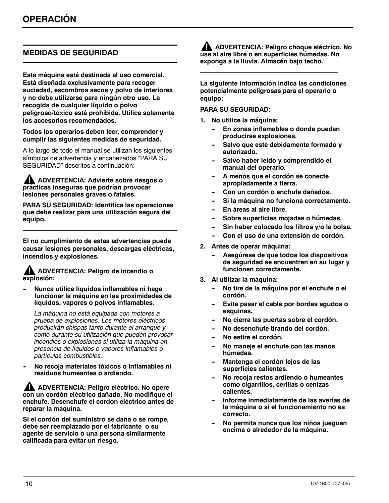# **MEDIDAS DE SEGURIDAD**

**Esta máquina está destinada al uso comercial. Está diseñada exclusivamente para recoger suciedad, escombros secos y polvo de interiores y no debe utilizarse para ningún otro uso. La recogida de cualquier líquido o polvo peligroso/tóxico está prohibida. Utilice solamente los accesorios recomendados.**

**Todos los operarios deben leer, comprender y cumplir las siguientes medidas de seguridad.**

A lo largo de todo el manual se utilizan los siguientes símbolos de advertencia y encabezados "PARA SU SEGURIDAD" descritos a continuación:

**ADVERTENCIA: Advierte sobre riesgos o prácticas inseguras que podrían provocar lesiones personales graves o fatales.**

**PARA SU SEGURIDAD: Identifica las operaciones que debe realizar para una utilización segura del equipo.**

**El no cumplimiento de estas advertencias puede causar lesiones personales, descargas eléctricas, incendios y explosiones.**

#### **ADVERTENCIA: Peligro de incendio o explosión:**

**-- Nunca utilice líquidos inflamables ni haga funcionar la máquina en las proximidades de líquidos, vapores o polvos inflamables.**

*La máquina no está equipada con motores a prueba de explosiones. Los motores eléctricos producirán chispas tanto durante el arranque y como durante su utilización que pueden provocar incendios o explosiones si utiliza la máquina en presencia de líquidos o vapores inflamables o partículas combustibles.*

No recoja materiales tóxicos o inflamables ni **residuos humeantes o ardiendo.**

**ADVERTENCIA: Peligro eléctrico. No opere con un cordón eléctrico dañado. No modifique el enchufe. Desenchufe el cordón eléctrico antes de reparar la máquina.**

**Si el cordón del suministro se daña o se rompe, debe ser reemplazado por el fabricante o su agente de servicio o una persona similarmente calificada para evitar un riesgo.**

**ADVERTENCIA: Peligro choque eléctrico. No use al aire libre o en superficies húmedas. No exponga a la lluvia. Almacén bajo techo.**

**La siguiente información indica las condiciones potencialmente peligrosas para el operario o equipo:**

#### **PARA SU SEGURIDAD:**

- **1. No utilice la máquina:**
	- **En zonas inflamables o donde puedan producirse explosiones.**
	- Salvo que esté debidamente formado y **autorizado.**
	- Salvo haber leído y comprendido el **manual del operario.**
	- A menos que el cordón se conecte **apropiadamente a tierra.**
	- Con un cordón o enchufe dañados.
	- Si la máquina no funciona correctamente.
	- **-- En áreas al aire libre.**
	- Sobre superficies mojadas o húmedas.
	- Sin haber colocado los filtros y/o la bolsa.
	- Con el uso de una extensión de cordón.
- **2. Antes de operar máquina:**
	- Asegúrese de que todos los dispositivos **de seguridad se encuentren en su lugar y funcionen correctamente.**
- **3. Al utilizar la máquina:**
	- **-- No tire de la máquina por el enchufe o el cordón.**
	- Evite pasar el cable por bordes agudos o **esquinas.**
	- **-- No cierra las puertas sobre el cordón.**
	- **No desenchufe tirando del cordón.**
	- **No estire el cordón.**
	- No maneje el enchufe con las manos **húmedas.**
	- **Mantenga el cordón lejos de las superficies calientes.**
	- No recoja restos ardiendo o humeantes **como cigarrillos, cerillas o cenizas calientes.**
	- Informe inmediatamente de las averías de **la máquina o si el funcionamiento no es correcto.**
	- **-- No permita nunca que los niños jueguen encima o alrededor de la máquina.**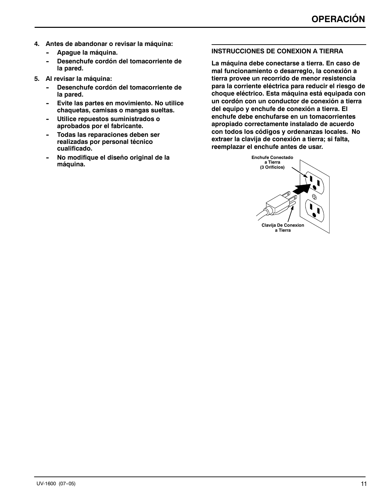- **4. Antes de abandonar o revisar la máquina:**
	- Apague la máquina.
	- **-- Desenchufe cordón del tomacorriente de la pared.**
- **5. Al revisar la máquina:**
	- Desenchufe cordón del tomacorriente de **la pared.**
	- Evite las partes en movimiento. No utilice **chaquetas, camisas o mangas sueltas.**
	- **Utilice repuestos suministrados o aprobados por el fabricante.**
	- Todas las reparaciones deben ser **realizadas por personal técnico cualificado.**
	- **No modifique el diseño original de la máquina.**

#### **INSTRUCCIONES DE CONEXION A TIERRA**

**La máquina debe conectarse a tierra. En caso de mal funcionamiento o desarreglo, la conexión a tierra provee un recorrido de menor resistencia para la corriente eléctrica para reducir el riesgo de choque eléctrico. Esta máquina está equipada con un cordón con un conductor de conexión a tierra del equipo y enchufe de conexión a tierra. El enchufe debe enchufarse en un tomacorrientes apropiado correctamente instalado de acuerdo con todos los códigos y ordenanzas locales. No extraer la clavija de conexión a tierra; si falta, reemplazar el enchufe antes de usar.**

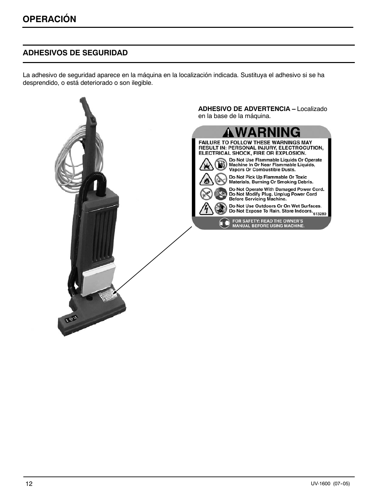# **ADHESIVOS DE SEGURIDAD**

La adhesivo de seguridad aparece en la máquina en la localización indicada. Sustituya el adhesivo si se ha desprendido, o está deteriorado o son ilegible.

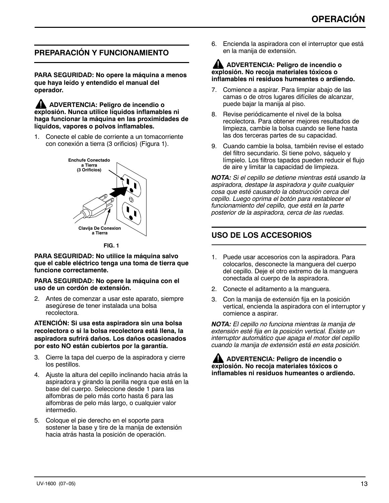# **PREPARACIÓN Y FUNCIONAMIENTO**

**PARA SEGURIDAD: No opere la máquina a menos que haya leído y entendido el manual del operador.**

**ADVERTENCIA: Peligro de incendio o explosión. Nunca utilice líquidos inflamables ni haga funcionar la máquina en las proximidades de líquidos, vapores o polvos inflamables.**

1. Conecte el cable de corriente a un tomacorriente con conexión a tierra (3 orificios) (Figura 1).



**FIG. 1**

**PARA SEGURIDAD: No utilice la máquina salvo que el cable eléctrico tenga una toma de tierra que funcione correctamente.**

**PARA SEGURIDAD: No opere la máquina con el uso de un cordón de extensión.**

2. Antes de comenzar a usar este aparato, siempre asegúrese de tener instalada una bolsa recolectora.

**ATENCIÓN: Si usa esta aspiradora sin una bolsa recolectora o si la bolsa recolectora está llena, la aspiradora sufrirá daños. Los daños ocasionados por esto NO están cubiertos por la garantía.**

- 3. Cierre la tapa del cuerpo de la aspiradora y cierre los pestillos.
- 4. Ajuste la altura del cepillo inclinando hacia atrás la aspiradora y girando la perilla negra que está en la base del cuerpo. Seleccione desde 1 para las alfombras de pelo más corto hasta 6 para las alfombras de pelo más largo, o cualquier valor intermedio.
- 5. Coloque el pie derecho en el soporte para sostener la base y tire de la manija de extensión hacia atrás hasta la posición de operación.

6. Encienda la aspiradora con el interruptor que está en la manija de extensión.

#### **ADVERTENCIA: Peligro de incendio o explosión. No recoja materiales tóxicos o inflamables ni residuos humeantes o ardiendo.**

- 7. Comience a aspirar. Para limpiar abajo de las camas o de otros lugares difíciles de alcanzar, puede bajar la manija al piso.
- 8. Revise periódicamente el nivel de la bolsa recolectora. Para obtener mejores resultados de limpieza, cambie la bolsa cuando se llene hasta las dos terceras partes de su capacidad.
- 9. Cuando cambie la bolsa, también revise el estado del filtro secundario. Si tiene polvo, sáquelo y límpielo. Los filtros tapados pueden reducir el flujo de aire y limitar la capacidad de limpieza.

*NOTA: Si el cepillo se detiene mientras está usando la aspiradora, destape la aspiradora y quite cualquier cosa que esté causando la obstrucción cerca del cepillo. Luego oprima el botón para restablecer el funcionamiento del cepillo, que está en la parte posterior de la aspiradora, cerca de las ruedas.*

# **USO DE LOS ACCESORIOS**

- 1. Puede usar accesorios con la aspiradora. Para colocarlos, desconecte la manguera del cuerpo del cepillo. Deje el otro extremo de la manguera conectada al cuerpo de la aspiradora.
- 2. Conecte el aditamento a la manguera.
- 3. Con la manija de extensión fija en la posición vertical, encienda la aspiradora con el interruptor y comience a aspirar.

*NOTA: El cepillo no funciona mientras la manija de extensión esté fija en la posición vertical. Existe un interruptor automático que apaga el motor del cepillo cuando la manija de extensión está en esta posición.*

**ADVERTENCIA: Peligro de incendio o explosión. No recoja materiales tóxicos o inflamables ni residuos humeantes o ardiendo.**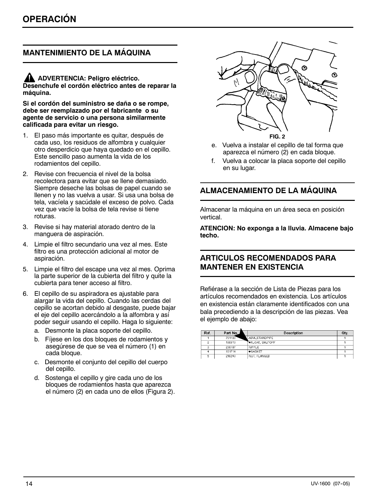# **MANTENIMIENTO DE LA MÁQUINA**

#### **ADVERTENCIA: Peligro eléctrico. Desenchufe el cordón eléctrico antes de reparar la máquina.**

**Si el cordón del suministro se daña o se rompe, debe ser reemplazado por el fabricante o su agente de servicio o una persona similarmente calificada para evitar un riesgo.**

- 1. El paso más importante es quitar, después de cada uso, los residuos de alfombra y cualquier otro desperdicio que haya quedado en el cepillo. Este sencillo paso aumenta la vida de los rodamientos del cepillo.
- 2. Revise con frecuencia el nivel de la bolsa recolectora para evitar que se llene demasiado. Siempre deseche las bolsas de papel cuando se llenen y no las vuelva a usar. Si usa una bolsa de tela, vacíela y sacúdale el exceso de polvo. Cada vez que vacíe la bolsa de tela revise si tiene roturas.
- 3. Revise si hay material atorado dentro de la manguera de aspiración.
- 4. Limpie el filtro secundario una vez al mes. Este filtro es una protección adicional al motor de aspiración.
- 5. Limpie el filtro del escape una vez al mes. Oprima la parte superior de la cubierta del filtro y quite la cubierta para tener acceso al filtro.
- 6. El cepillo de su aspiradora es ajustable para alargar la vida del cepillo. Cuando las cerdas del cepillo se acortan debido al desgaste, puede bajar el eje del cepillo acercándolo a la alfombra y así poder seguir usando el cepillo. Haga lo siguiente:
	- a. Desmonte la placa soporte del cepillo.
	- b. Fíjese en los dos bloques de rodamientos y asegúrese de que se vea el número (1) en cada bloque.
	- c. Desmonte el conjunto del cepillo del cuerpo del cepillo.
	- d. Sostenga el cepillo y gire cada uno de los bloques de rodamientos hasta que aparezca el número (2) en cada uno de ellos (Figura 2).



e. Vuelva a instalar el cepillo de tal forma que aparezca el número (2) en cada bloque.

f. Vuelva a colocar la placa soporte del cepillo en su lugar.

#### **ALMACENAMIENTO DE LA MÁQUINA**

Almacenar la máquina en un área seca en posición vertical.

**ATENCION: No exponga a la lluvia. Almacene bajo techo.**

#### **ARTICULOS RECOMENDADOS PARA MANTENER EN EXISTENCIA**

Refiérase a la sección de Lista de Piezas para los artículos recomendados en existencia. Los artículos en existencia están claramente identificados con una bala precediendo a la descripción de las piezas. Vea el ejemplo de abajo:

| Ref. | Part No. | Description            | Qty. |
|------|----------|------------------------|------|
|      | 701103   | ASM., STANDPIPE        |      |
|      | 180613   | <b>OFLOAT, SHUTOFF</b> |      |
| Ŕ    | 230187   | NIPPLE                 |      |
|      | 101714   | <b>CASKET</b>          |      |
|      | 210240   | NUT, FLANGED           |      |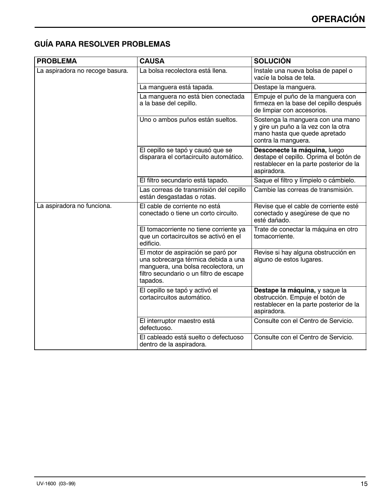# **GUÍA PARA RESOLVER PROBLEMAS**

| <b>PROBLEMA</b>                 | <b>CAUSA</b>                                                                                                                                                            | <b>SOLUCIÓN</b>                                                                                                                  |
|---------------------------------|-------------------------------------------------------------------------------------------------------------------------------------------------------------------------|----------------------------------------------------------------------------------------------------------------------------------|
| La aspiradora no recoge basura. | La bolsa recolectora está llena.                                                                                                                                        | Instale una nueva bolsa de papel o<br>vacíe la bolsa de tela.                                                                    |
|                                 | La manguera está tapada.                                                                                                                                                | Destape la manguera.                                                                                                             |
|                                 | La manguera no está bien conectada<br>a la base del cepillo.                                                                                                            | Empuje el puño de la manguera con<br>firmeza en la base del cepillo después<br>de limpiar con accesorios.                        |
|                                 | Uno o ambos puños están sueltos.                                                                                                                                        | Sostenga la manguera con una mano<br>y gire un puño a la vez con la otra<br>mano hasta que quede apretado<br>contra la manguera. |
|                                 | El cepillo se tapó y causó que se<br>disparara el cortacircuito automático.                                                                                             | Desconecte la máquina, luego<br>destape el cepillo. Oprima el botón de<br>restablecer en la parte posterior de la<br>aspiradora. |
|                                 | El filtro secundario está tapado.                                                                                                                                       | Saque el filtro y límpielo o cámbielo.                                                                                           |
|                                 | Las correas de transmisión del cepillo<br>están desgastadas o rotas.                                                                                                    | Cambie las correas de transmisión.                                                                                               |
| La aspiradora no funciona.      | El cable de corriente no está<br>conectado o tiene un corto circuito.                                                                                                   | Revise que el cable de corriente esté<br>conectado y asegúrese de que no<br>esté dañado.                                         |
|                                 | El tomacorriente no tiene corriente ya<br>que un cortacircuitos se activó en el<br>edificio.                                                                            | Trate de conectar la máquina en otro<br>tomacorriente.                                                                           |
|                                 | El motor de aspiración se paró por<br>una sobrecarga térmica debida a una<br>manguera, una bolsa recolectora, un<br>filtro secundario o un filtro de escape<br>tapados. | Revise si hay alguna obstrucción en<br>alguno de estos lugares.                                                                  |
|                                 | El cepillo se tapó y activó el<br>cortacircuitos automático.                                                                                                            | Destape la máquina, y saque la<br>obstrucción. Empuje el botón de<br>restablecer en la parte posterior de la<br>aspiradora.      |
|                                 | El interruptor maestro está<br>defectuoso.                                                                                                                              | Consulte con el Centro de Servicio.                                                                                              |
|                                 | El cableado está suelto o defectuoso<br>dentro de la aspiradora.                                                                                                        | Consulte con el Centro de Servicio.                                                                                              |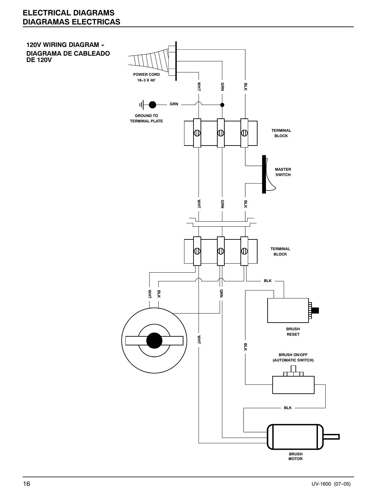# **ELECTRICAL DIAGRAMS DIAGRAMAS ELECTRICAS**

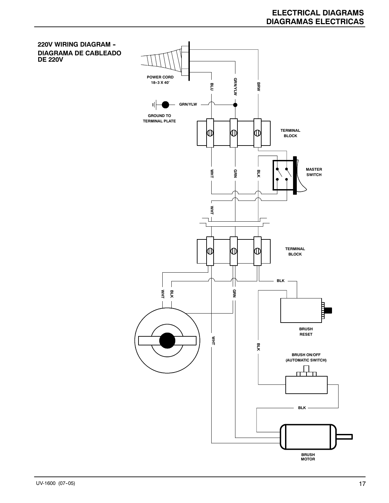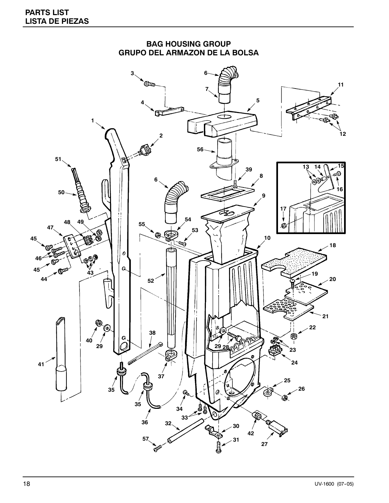

# **BAG HOUSING GROUP GRUPO DEL ARMAZON DE LA BOLSA**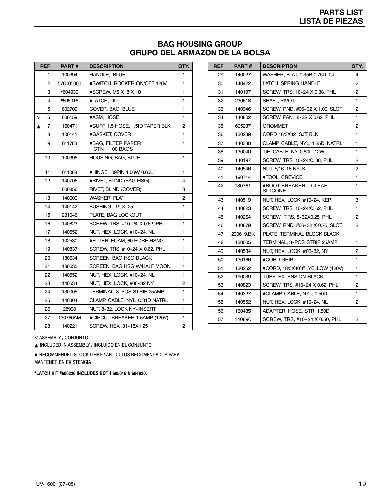### **BAG HOUSING GROUP GRUPO DEL ARMAZON DE LA BOLSA**

|                       | REF | <b>PART#</b> | <b>DESCRIPTION</b>                       | QTY. |
|-----------------------|-----|--------------|------------------------------------------|------|
|                       | 1   | 100394       | <b>HANDLE, BLUE</b>                      | 1    |
|                       | 2   | 578005000    | ●SWITCH, ROCKER ON/OFF 120V              | 1    |
|                       | 3   | *604930      | $\bullet$ SCREW. M5 X .8 X 10            | 1    |
|                       | 4   | *605016      | ·LATCH, LID                              | 1    |
|                       | 5   | 602709       | COVER, BAG, BLUE                         | 1    |
| $\boldsymbol{\nabla}$ | 6   | 606159       | ●ASM, HOSE                               | 1    |
| A                     | 7   | 160471       | ●CUFF, 1.5 HOSE, 1.5ID TAPER BLK         | 2    |
|                       | 8   | 100141       | ·GASKET, COVER                           | 1    |
|                       | 9   | 611783       | ●BAG, FILTER PAPER<br>$1$ CTN = 100 BAGS | 1    |
|                       | 10  | 100396       | HOUSING, BAG, BLUE                       | 1    |
|                       | 11  | 611068       | ●HINGE, .09PIN 1.06W 0.65L               | 1    |
|                       | 12  | 140706       | ●RIVET, BLIND (BAG HSG)                  | 4    |
|                       |     | 600856       | RIVET, BLIND (COVER)                     | 3    |
|                       | 13  | 140000       | <b>WASHER, FLAT</b>                      | 2    |
|                       | 14  | 140142       | BUSHING, .19 X .25                       | 1    |
|                       | 15  | 231046       | PLATE, BAG LOCKOUT                       | 1    |
|                       | 16  | 140823       | SCREW, TRS, #10-24 X 0.62, PHL           | 1    |
|                       | 17  | 140552       | NUT, HEX, LOCK, #10-24, NL               | 1    |
|                       | 18  | 102530       | ●FILTER, FOAM, 60 PORE HSNG              | 1    |
|                       | 19  | 140837       | SCREW, TRS, #10-24 X 0.62, PHL           | 1    |
|                       | 20  | 180634       | SCREEN, BAG HSG BLACK                    | 1    |
|                       | 21  | 180635       | SCREEN, BAG HSG W/HALF MOON              | 1    |
|                       | 22  | 140552       | NUT. HEX. LOCK. #10-24. NL               | 1    |
|                       | 23  | 140534       | NUT, HEX, LOCK, #06-32 NY                | 2    |
|                       | 24  | 130005       | TERMINAL, 3-POS STRIP 25AMP              | 1    |
|                       | 25  | 140304       | CLAMP, CABLE, NYL, 0.31D NATRL           | 1    |
|                       | 26  | 28990        | NUT, 8-32, LOCK NY-INSERT                | 1    |
|                       | 27  | 130760AM     | ●CIRCUITBREAKER 1.5AMP (120V)            | 1    |
|                       | 28  | 140221       | SCREW, HEX .31-18X1.25                   | 2    |

| <b>REF</b> | <b>PART#</b> | <b>DESCRIPTION</b>                | QTY. |
|------------|--------------|-----------------------------------|------|
| 29         | 140027       | WASHER, FLAT, 0.35B 0.75D .04     | 4    |
| 30         | 140422       | LATCH, SPRING HANDLE              | 2    |
| 31         | 140197       | SCREW, TRS, 10-24 X 0.38, PHL     | 2    |
| 32         | 230618       | SHAFT, PIVOT                      | 1    |
| 33         | 140946       | SCREW. RND. #06-32 X 1.00. SLOT   | 2    |
| 34         | 140802       | SCREW, PAN, 8-32 X 0.62, PHL      | 1    |
| 35         | 605237       | <b>GROMMET</b>                    | 2    |
| 36         | 130239       | CORD 18/3X42" SJT BLK             | 1    |
| 37         | 140330       | CLAMP, CABLE, NYL, 1.25D, NATRL   | 1    |
| 38         | 130040       | TIE, CABLE, NY, 0.60L .12W        | 1    |
| 39         | 140197       | SCREW, TRS, 10-24X0.38, PHL       | 2    |
| 40         | 140546       | NUT, 5/16-18 NYLK                 | 2    |
| 41         | 190714       | ●TOOL, CREVICE                    | 1    |
| 42         | 130761       | ●BOOT BREAKER - CLEAR<br>SILICONE | 1    |
| 43         | 140519       | NUT, HEX, LOCK, #10-24, KEP       | 3    |
| 44         | 140823       | SCREW, TRS, 10-24X0.62, PHL       | 1    |
| 45         | 140264       | SCREW, TRS, 8-32X0.25, PHL        | 2    |
| 46         | 140879       | SCREW, RND, #06-32 X 0.75, SLOT   | 2    |
| 47         | 230619.BK    | PLATE. TERMINAL BLOCK BLACK       | 1    |
| 48         | 130005       | TERMINAL, 3-POS STRIP 25AMP       | 1    |
| 49         | 140534       | NUT, HEX, LOCK, #06-32, NY        | 2    |
| 50         | 130166       | $\bullet$ CORD GRIP               | 1    |
| 51         | 130252       | ●CORD, 18/3X40'4" YELLOW (120V)   | 1    |
| 52         | 190039       | TUBE, EXTENSION BLACK             | 1    |
| 53         | 140823       | SCREW, TRS, #10-24 X 0.62, PHL    | 2    |
| 54         | 140327       | ●CLAMP. CABLE. NYL. 1.50D         | 1    |
| 55         | 140552       | NUT, HEX, LOCK, #10-24, NL        | 2    |
| 56         | 160485       | ADAPTER, HOSE, STR, 1.50D         | 1    |
| 57         | 140890       | SCREW, TRS, #10-24 X 0.50, PHL    | 2    |

∇ ASSEMBLY / CONJUNTO

 $\blacktriangle$  INCLUDED IN ASSEMBLY / INCLUIDO EN EL CONJUNTO

**.** RECOMMENDED STOCK ITEMS / ARTICULOS RECOMENDADOS PARA MANTENER EN EXISTENCIA

**\*LATCH KIT #606226 INCLUDES BOTH 605016 & 604930.**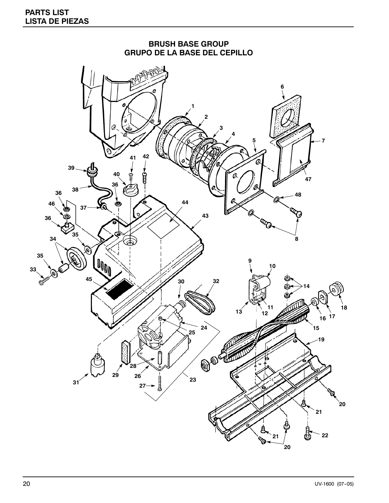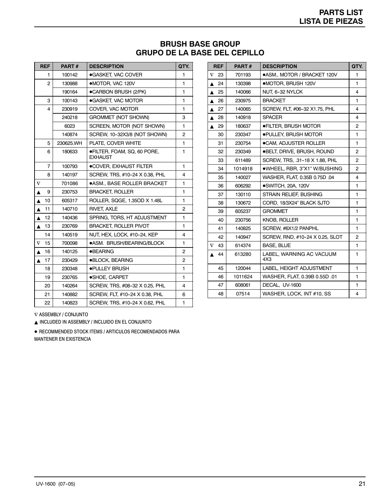# **BRUSH BASE GROUP GRUPO DE LA BASE DEL CEPILLO**

|                  | <b>REF</b>     | PART#     | <b>DESCRIPTION</b>                            | QTY.           |
|------------------|----------------|-----------|-----------------------------------------------|----------------|
|                  | 1              | 100142    | ● GASKET, VAC COVER                           | 1              |
|                  | 2              | 130988    | ·MOTOR, VAC 120V                              | 1              |
|                  |                | 190164    | ●CARBON BRUSH (2/PK)                          | 1              |
|                  | 3              | 100143    | ● GASKET, VAC MOTOR                           | 1              |
|                  | 4              | 230919    | COVER, VAC MOTOR                              | 1              |
|                  |                | 240218    | <b>GROMMET (NOT SHOWN)</b>                    | 3              |
|                  |                | 6023      | SCREEN, MOTOR (NOT SHOWN)                     | 1              |
|                  |                | 140874    | SCREW, 10-32X3/8 (NOT SHOWN)                  | $\overline{c}$ |
|                  | 5              | 230625.WH | PLATE, COVER WHITE                            | 1              |
|                  | 6              | 180633    | ●FILTER, FOAM, SQ, 60 PORE,<br><b>EXHAUST</b> | 1              |
|                  | $\overline{7}$ | 100793    | ●COVER, EXHAUST FILTER                        | 1              |
|                  | 8              | 140197    | SCREW, TRS, #10-24 X 0.38, PHL                | 4              |
| $\nabla$         |                | 701086    | <b>.ASM., BASE ROLLER BRACKET</b>             | 1              |
| ▲                | 9              | 230753    | <b>BRACKET, ROLLER</b>                        | 1              |
| $\blacktriangle$ | 10             | 605317    | ROLLER, SQGE, 1.35OD X 1.48L                  | 1              |
| $\blacktriangle$ | 11             | 140710    | RIVET, AXLE                                   | 2              |
| ▲                | 12             | 140436    | SPRING, TORS, HT ADJUSTMENT                   | 1              |
| ▲                | 13             | 230769    | <b>BRACKET, ROLLER PIVOT</b>                  | 1              |
|                  | 14             | 140519    | NUT, HEX, LOCK, #10-24, KEP                   | 4              |
| $\nabla$         | 15             | 700098    | ●ASM. BRUSH/BEARING/BLOCK                     | 1              |
| ▲                | 16             | 140125    | ● <b>BEARING</b>                              | 2              |
| ▲                | 17             | 230429    | ●BLOCK, BEARING                               | $\overline{c}$ |
|                  | 18             | 230348    | ●PULLEY BRUSH                                 | 1              |
|                  | 19             | 230765    | ·SHOE, CARPET                                 | 1              |
|                  | 20             | 140264    | SCREW, TRS, #08-32 X 0.25, PHL                | 4              |
|                  | 21             | 140882    | SCREW, FLT, #10-24 X 0.38, PHL                | 6              |
|                  | 22             | 140823    | SCREW, TRS, #10-24 X 0.62, PHL                | 1              |

| <b>REF</b>     | <b>PART#</b> | <b>DESCRIPTION</b>              | QTY.           |
|----------------|--------------|---------------------------------|----------------|
| $\nabla$<br>23 | 701193       | ●ASM., MOTOR / BRACKET 120V     | 1              |
| 24<br>▲        | 130398       | •MOTOR, BRUSH 120V              | 1              |
| 25             | 140066       | NUT, 6-32 NYLCK                 | 4              |
| 26<br>▲        | 230975       | <b>BRACKET</b>                  | 1              |
| 27             | 140065       | SCREW, FLT, #06-32 X1.75, PHL   | 4              |
| 28             | 140918       | <b>SPACER</b>                   | 4              |
| 29<br>▲        | 180637       | ●FILTER. BRUSH MOTOR            | 2              |
| 30             | 230347       | <b>.PULLEY, BRUSH MOTOR</b>     | 1              |
| 31             | 230754       | ●CAM, ADJUSTER ROLLER           | 1              |
| 32             | 230349       | ●BELT, DRIVE, BRUSH, ROUND      | 2              |
| 33             | 611489       | SCREW, TRS, .31-18 X 1.88, PHL  | 2              |
| 34             | 1014918      | ●WHEEL, RBR, 3"X1" W/BUSHING    | $\overline{2}$ |
| 35             | 140027       | WASHER, FLAT, 0.35B 0.75D .04   | 4              |
| 36             | 606292       | ·SWITCH, 20A, 120V              | 1              |
| 37             | 130110       | STRAIN RELIEF, BUSHING          | 1              |
| 38             | 130672       | CORD, 18/3X24" BLACK SJTO       | 1              |
| 39             | 605237       | <b>GROMMET</b>                  | 1              |
| 40             | 230756       | <b>KNOB, ROLLER</b>             | 1              |
| 41             | 140825       | SCREW, #6X1/2 PANPHL            | 1              |
| 42             | 140947       | SCREW, RND, #10-24 X 0.25, SLOT | 2              |
| $\nabla$<br>43 | 614374       | <b>BASE, BLUE</b>               | $\mathbf{1}$   |
| 44<br>▲        | 613280       | LABEL, WARNING AC VACUUM<br>4X3 | 1              |
| 45             | 120044       | LABEL, HEIGHT ADJUSTMENT        | 1              |
| 46             | 1011624      | WASHER, FLAT, 0.39B 0.55D .01   | 1              |
| 47             | 608061       | DECAL. UV-1600                  | 1              |
| 48             | 07514        | WASHER, LOCK, INT #10, SS       | 4              |

∇ ASSEMBLY / CONJUNTO

 $\blacktriangle$  INCLUDED IN ASSEMBLY / INCLUIDO EN EL CONJUNTO

 $\bullet$  RECOMMENDED STOCK ITEMS / ARTICULOS RECOMENDADOS PARA MANTENER EN EXISTENCIA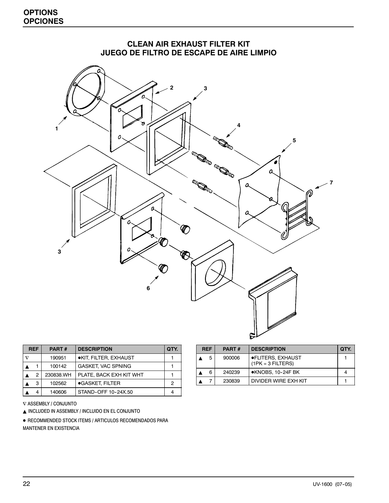| <b>OPTIONS</b>  |
|-----------------|
| <b>OPCIONES</b> |



| <b>REF</b> |   | <b>PART#</b> | <b>DESCRIPTION</b>      | QTY. |
|------------|---|--------------|-------------------------|------|
| $\rm v$    |   | 190951       | ·KIT, FILTER, EXHAUST   |      |
|            |   | 100142       | GASKET, VAC SPNING      |      |
|            | 2 | 230838.WH    | PLATE, BACK EXH KIT WHT |      |
|            | 3 | 102562       | ● GASKET, FILTER        | 2    |
|            |   | 140606       | STAND-OFF 10-24X.50     |      |

∇ ASSEMBLY / CONJUNTO

 $\blacktriangle$  INCLUDED IN ASSEMBLY / INCLUIDO EN EL CONJUNTO

 $\bullet$  RECOMMENDED STOCK ITEMS / ARTICULOS RECOMENDADOS PARA MANTENER EN EXISTENCIA

| <b>REF</b> | <b>PART#</b> | <b>DESCRIPTION</b>                       | OTY. |
|------------|--------------|------------------------------------------|------|
| 5          | 900006       | ●FLITERS, EXHAUST<br>$(1PK = 3$ FILTERS) |      |
| 6          | 240239       | ●KNOBS, 10-24F BK                        |      |
|            | 230839       | DIVIDER WIRE FXH KIT                     |      |

# **CLEAN AIR EXHAUST FILTER KIT**